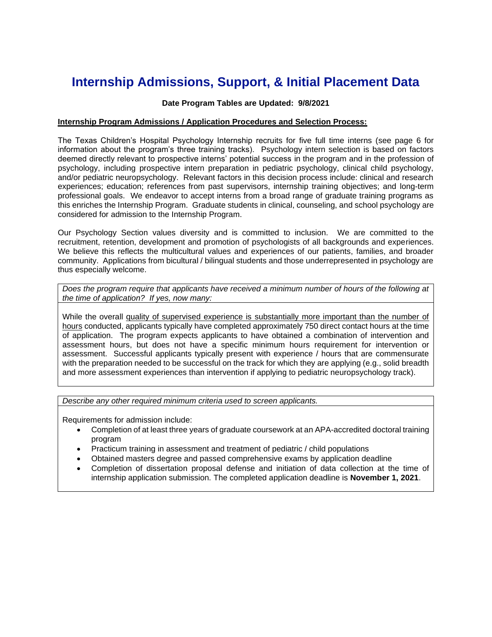# **Internship Admissions, Support, & Initial Placement Data**

## **Date Program Tables are Updated: 9/8/2021**

# **Internship Program Admissions / Application Procedures and Selection Process:**

The Texas Children's Hospital Psychology Internship recruits for five full time interns (see page 6 for information about the program's three training tracks). Psychology intern selection is based on factors deemed directly relevant to prospective interns' potential success in the program and in the profession of psychology, including prospective intern preparation in pediatric psychology, clinical child psychology, and/or pediatric neuropsychology. Relevant factors in this decision process include: clinical and research experiences; education; references from past supervisors, internship training objectives; and long-term professional goals. We endeavor to accept interns from a broad range of graduate training programs as this enriches the Internship Program. Graduate students in clinical, counseling, and school psychology are considered for admission to the Internship Program.

Our Psychology Section values diversity and is committed to inclusion. We are committed to the recruitment, retention, development and promotion of psychologists of all backgrounds and experiences. We believe this reflects the multicultural values and experiences of our patients, families, and broader community. Applications from bicultural / bilingual students and those underrepresented in psychology are thus especially welcome.

*Does the program require that applicants have received a minimum number of hours of the following at the time of application? If yes, now many:*

While the overall quality of supervised experience is substantially more important than the number of hours conducted, applicants typically have completed approximately 750 direct contact hours at the time of application. The program expects applicants to have obtained a combination of intervention and assessment hours, but does not have a specific minimum hours requirement for intervention or assessment. Successful applicants typically present with experience / hours that are commensurate with the preparation needed to be successful on the track for which they are applying (e.g., solid breadth and more assessment experiences than intervention if applying to pediatric neuropsychology track).

*Describe any other required minimum criteria used to screen applicants.*

Requirements for admission include:

- Completion of at least three years of graduate coursework at an APA-accredited doctoral training program
- Practicum training in assessment and treatment of pediatric / child populations
- Obtained masters degree and passed comprehensive exams by application deadline
- Completion of dissertation proposal defense and initiation of data collection at the time of internship application submission. The completed application deadline is **November 1, 2021**.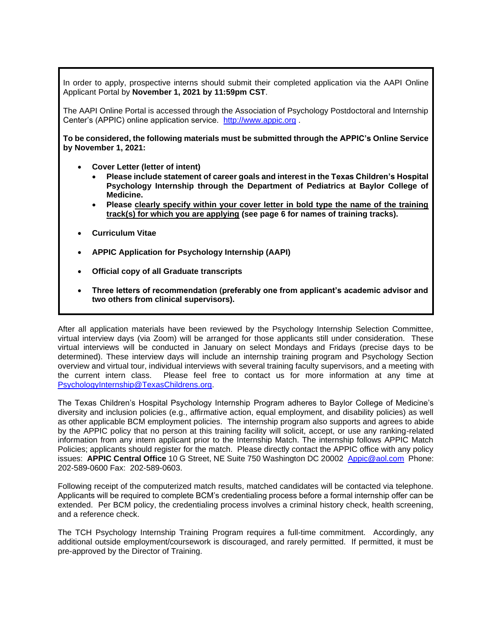In order to apply, prospective interns should submit their completed application via the AAPI Online Applicant Portal by **November 1, 2021 by 11:59pm CST**.

The AAPI Online Portal is accessed through the Association of Psychology Postdoctoral and Internship Center's (APPIC) online application service. [http://www.appic.org](http://www.appic.org/) .

**To be considered, the following materials must be submitted through the APPIC's Online Service by November 1, 2021:**

- **Cover Letter (letter of intent)**
	- **Please include statement of career goals and interest in the Texas Children's Hospital Psychology Internship through the Department of Pediatrics at Baylor College of Medicine.**
	- **Please clearly specify within your cover letter in bold type the name of the training track(s) for which you are applying (see page 6 for names of training tracks).**
- **Curriculum Vitae**
- **APPIC Application for Psychology Internship (AAPI)**
- **Official copy of all Graduate transcripts**
- **Three letters of recommendation (preferably one from applicant's academic advisor and two others from clinical supervisors).**

After all application materials have been reviewed by the Psychology Internship Selection Committee, virtual interview days (via Zoom) will be arranged for those applicants still under consideration. These virtual interviews will be conducted in January on select Mondays and Fridays (precise days to be determined). These interview days will include an internship training program and Psychology Section overview and virtual tour, individual interviews with several training faculty supervisors, and a meeting with the current intern class. Please feel free to contact us for more information at any time at [PsychologyInternship@TexasChildrens.org.](mailto:PsychologyInternship@TexasChildrens.org)

The Texas Children's Hospital Psychology Internship Program adheres to Baylor College of Medicine's diversity and inclusion policies (e.g., affirmative action, equal employment, and disability policies) as well as other applicable BCM employment policies. The internship program also supports and agrees to abide by the APPIC policy that no person at this training facility will solicit, accept, or use any ranking-related information from any intern applicant prior to the Internship Match. The internship follows APPIC Match Policies; applicants should register for the match. Please directly contact the APPIC office with any policy issues:**APPIC Central Office** 10 G Street, NE Suite 750 Washington DC 20002 [Appic@aol.com](mailto:Appic@aol.com) Phone: 202-589-0600 Fax: 202-589-0603.

Following receipt of the computerized match results, matched candidates will be contacted via telephone. Applicants will be required to complete BCM's credentialing process before a formal internship offer can be extended. Per BCM policy, the credentialing process involves a criminal history check, health screening, and a reference check.

The TCH Psychology Internship Training Program requires a full-time commitment. Accordingly, any additional outside employment/coursework is discouraged, and rarely permitted. If permitted, it must be pre-approved by the Director of Training.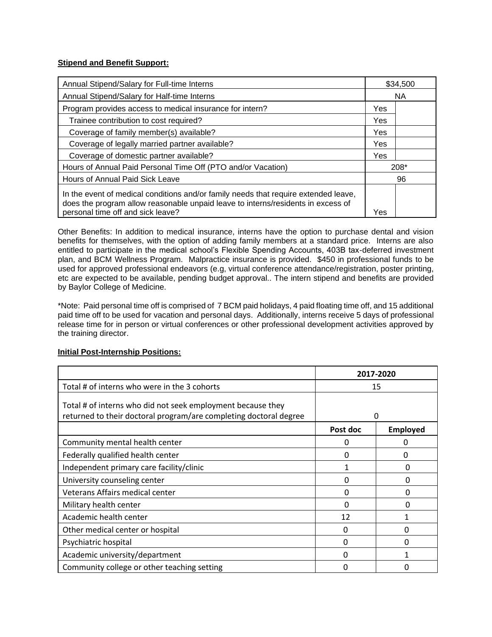## **Stipend and Benefit Support:**

| Annual Stipend/Salary for Full-time Interns                                                                                                                                                                  |           | \$34,500 |
|--------------------------------------------------------------------------------------------------------------------------------------------------------------------------------------------------------------|-----------|----------|
| Annual Stipend/Salary for Half-time Interns                                                                                                                                                                  | <b>NA</b> |          |
| Program provides access to medical insurance for intern?                                                                                                                                                     | Yes       |          |
| Trainee contribution to cost required?                                                                                                                                                                       | Yes       |          |
| Coverage of family member(s) available?                                                                                                                                                                      | Yes       |          |
| Coverage of legally married partner available?                                                                                                                                                               | Yes       |          |
| Coverage of domestic partner available?                                                                                                                                                                      | Yes       |          |
| Hours of Annual Paid Personal Time Off (PTO and/or Vacation)                                                                                                                                                 | 208*      |          |
| Hours of Annual Paid Sick Leave                                                                                                                                                                              | 96        |          |
| In the event of medical conditions and/or family needs that require extended leave,<br>does the program allow reasonable unpaid leave to interns/residents in excess of<br>personal time off and sick leave? | Yes       |          |

Other Benefits: In addition to medical insurance, interns have the option to purchase dental and vision benefits for themselves, with the option of adding family members at a standard price. Interns are also entitled to participate in the medical school's Flexible Spending Accounts, 403B tax-deferred investment plan, and BCM Wellness Program. Malpractice insurance is provided. \$450 in professional funds to be used for approved professional endeavors (e.g, virtual conference attendance/registration, poster printing, etc are expected to be available, pending budget approval.. The intern stipend and benefits are provided by Baylor College of Medicine.

\*Note: Paid personal time off is comprised of 7 BCM paid holidays, 4 paid floating time off, and 15 additional paid time off to be used for vacation and personal days. Additionally, interns receive 5 days of professional release time for in person or virtual conferences or other professional development activities approved by the training director.

|                                                                                                                                  | 2017-2020 |                 |
|----------------------------------------------------------------------------------------------------------------------------------|-----------|-----------------|
| Total # of interns who were in the 3 cohorts                                                                                     | 15        |                 |
| Total # of interns who did not seek employment because they<br>returned to their doctoral program/are completing doctoral degree | 0         |                 |
|                                                                                                                                  | Post doc  | <b>Employed</b> |
| Community mental health center                                                                                                   | 0         | 0               |
| Federally qualified health center                                                                                                | 0         | 0               |
| Independent primary care facility/clinic                                                                                         | 1         | $\Omega$        |
| University counseling center                                                                                                     | 0         | 0               |
| Veterans Affairs medical center                                                                                                  | O         | O               |
| Military health center                                                                                                           | ∩         | 0               |
| Academic health center                                                                                                           | 12        | 1               |
| Other medical center or hospital                                                                                                 | 0         | 0               |
| Psychiatric hospital                                                                                                             | 0         | O               |
| Academic university/department                                                                                                   | 0         | 1               |
| Community college or other teaching setting                                                                                      | 0         | Ω               |

#### **Initial Post-Internship Positions:**